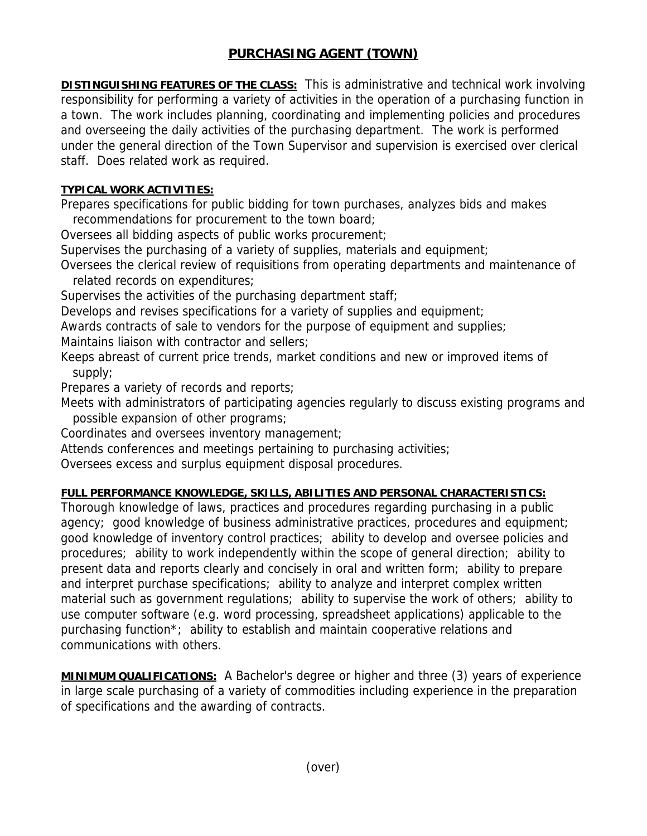## **PURCHASING AGENT (TOWN)**

**DISTINGUISHING FEATURES OF THE CLASS:** This is administrative and technical work involving responsibility for performing a variety of activities in the operation of a purchasing function in a town. The work includes planning, coordinating and implementing policies and procedures and overseeing the daily activities of the purchasing department. The work is performed under the general direction of the Town Supervisor and supervision is exercised over clerical staff. Does related work as required.

## **TYPICAL WORK ACTIVITIES:**

Prepares specifications for public bidding for town purchases, analyzes bids and makes recommendations for procurement to the town board;

Oversees all bidding aspects of public works procurement;

Supervises the purchasing of a variety of supplies, materials and equipment;

Oversees the clerical review of requisitions from operating departments and maintenance of related records on expenditures;

Supervises the activities of the purchasing department staff;

Develops and revises specifications for a variety of supplies and equipment;

Awards contracts of sale to vendors for the purpose of equipment and supplies;

Maintains liaison with contractor and sellers;

Keeps abreast of current price trends, market conditions and new or improved items of supply;

Prepares a variety of records and reports;

Meets with administrators of participating agencies regularly to discuss existing programs and possible expansion of other programs;

Coordinates and oversees inventory management;

Attends conferences and meetings pertaining to purchasing activities;

Oversees excess and surplus equipment disposal procedures.

## **FULL PERFORMANCE KNOWLEDGE, SKILLS, ABILITIES AND PERSONAL CHARACTERISTICS:**

Thorough knowledge of laws, practices and procedures regarding purchasing in a public agency; good knowledge of business administrative practices, procedures and equipment; good knowledge of inventory control practices; ability to develop and oversee policies and procedures; ability to work independently within the scope of general direction; ability to present data and reports clearly and concisely in oral and written form; ability to prepare and interpret purchase specifications; ability to analyze and interpret complex written material such as government regulations; ability to supervise the work of others; ability to use computer software (e.g. word processing, spreadsheet applications) applicable to the purchasing function\*; ability to establish and maintain cooperative relations and communications with others.

**MINIMUM QUALIFICATIONS:** A Bachelor's degree or higher and three (3) years of experience in large scale purchasing of a variety of commodities including experience in the preparation of specifications and the awarding of contracts.